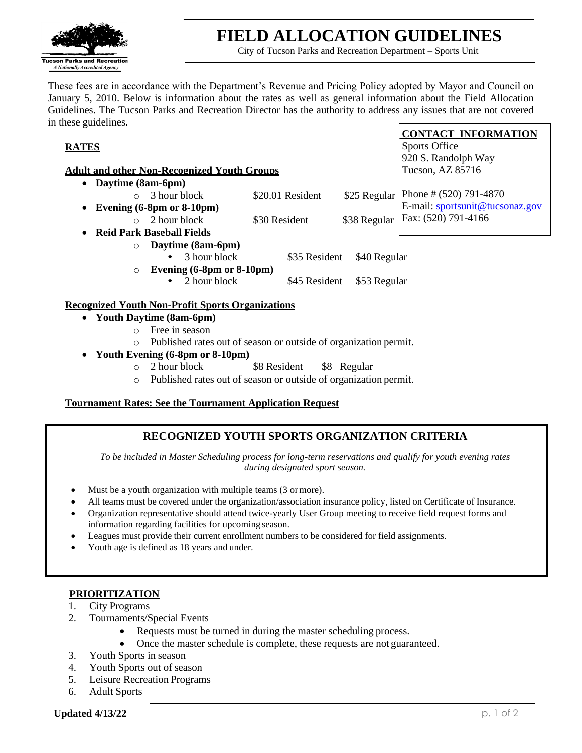

# **FIELD ALLOCATION GUIDELINES**

City of Tucson Parks and Recreation Department – Sports Unit

**CONTACT INFORMATION**

Sports Office

These fees are in accordance with the Department's Revenue and Pricing Policy adopted by Mayor and Council on January 5, 2010. Below is information about the rates as well as general information about the Field Allocation Guidelines. The Tucson Parks and Recreation Director has the authority to address any issues that are not covered in these guidelines.

## **RATES**

|                                                         |                                 |              | 920 S. Randolph Way      |  |  |  |
|---------------------------------------------------------|---------------------------------|--------------|--------------------------|--|--|--|
| <b>Adult and other Non-Recognized Youth Groups</b>      | Tucson, AZ 85716                |              |                          |  |  |  |
| Daytime (8am-6pm)                                       |                                 |              |                          |  |  |  |
| 3 hour block<br>$\circ$                                 | \$20.01 Resident                | \$25 Regular | Phone # $(520)$ 791-4870 |  |  |  |
| Evening $(6-8pm$ or $8-10pm)$                           | E-mail: sportsunit@tucsonaz.gov |              |                          |  |  |  |
| 2 hour block<br>$\circ$                                 | \$30 Resident                   | \$38 Regular | Fax: (520) 791-4166      |  |  |  |
| <b>Reid Park Baseball Fields</b>                        |                                 |              |                          |  |  |  |
| Daytime (8am-6pm)<br>$\circ$                            |                                 |              |                          |  |  |  |
| 3 hour block                                            | \$35 Resident                   | \$40 Regular |                          |  |  |  |
| Evening $(6-8pm$ or $8-10pm)$<br>$\circ$                |                                 |              |                          |  |  |  |
| 2 hour block                                            | \$45 Resident                   | \$53 Regular |                          |  |  |  |
| <b>Recognized Youth Non-Profit Sports Organizations</b> |                                 |              |                          |  |  |  |
| <b>Youth Daytime (8am-6pm)</b>                          |                                 |              |                          |  |  |  |
| Free in season                                          |                                 |              |                          |  |  |  |

- o Published rates out of season or outside of organization permit.
- **Youth Evening (6-8pm or 8-10pm)**
	- o 2 hour block \$8 Resident \$8 Regular
	- o Published rates out of season or outside of organization permit.

#### **Tournament Rates: See the Tournament Application Request**

# **RECOGNIZED YOUTH SPORTS ORGANIZATION CRITERIA**

*To be included in Master Scheduling process for long-term reservations and qualify for youth evening rates during designated sport season.*

- Must be a youth organization with multiple teams (3 or more).
- All teams must be covered under the organization/association insurance policy, listed on Certificate of Insurance.
- Organization representative should attend twice-yearly User Group meeting to receive field request forms and information regarding facilities for upcoming season.
- Leagues must provide their current enrollment numbers to be considered for field assignments.
- Youth age is defined as 18 years and under.

#### **PRIORITIZATION**

- 1. City Programs
- 2. Tournaments/Special Events
	- Requests must be turned in during the master scheduling process.
	- Once the master schedule is complete, these requests are not guaranteed.
- 3. Youth Sports in season
- 4. Youth Sports out of season
- 5. Leisure Recreation Programs
- 6. Adult Sports